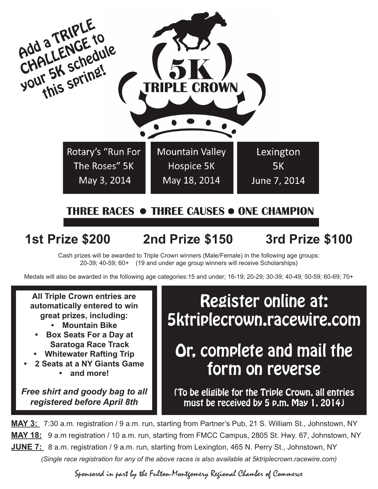

**1st Prize \$200 2nd Prize \$150 3rd Prize \$100**

Cash prizes will be awarded to Triple Crown winners (Male/Female) in the following age groups: 20-39; 40-59; 60+ (19 and under age group winners will receive Scholarships)

Medals will also be awarded in the following age categories:15 and under; 16-19; 20-29; 30-39; 40-49; 50-59; 60-69; 70+

**All Triple Crown entries are automatically entered to win great prizes, including:**

- **• Mountain Bike**
- **Box Seats For a Day at Saratoga Race Track**
- **• Whitewater Rafting Trip**
- **• 2 Seats at a NY Giants Game • and more!**

*Free shirt and goody bag to all registered before April 8th*

Register online at: 5ktriplecrown.racewire.com

## Or, complete and mail the form on reverse

(To be eligible for the Triple Crown, all entries must be received by 5 p.m. May 1, 2014)

**MAY 3:** 7:30 a.m. registration / 9 a.m. run, starting from Partner's Pub, 21 S. William St., Johnstown, NY **MAY 18:** 9 a.m registration / 10 a.m. run, starting from FMCC Campus, 2805 St. Hwy. 67, Johnstown, NY **JUNE 7:** 8 a.m. registration / 9 a.m. run, starting from Lexington, 465 N. Perry St., Johnstown, NY *(Single race registration for any of the above races is also available at 5ktriplecrown.racewire.com)*

Sponsored in part by the Fulton-Montgomery Regional Chamber of Commerce